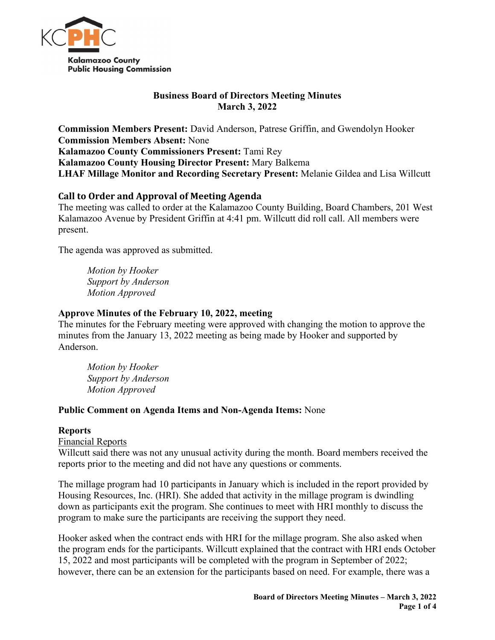

# **Business Board of Directors Meeting Minutes March 3, 2022**

**Commission Members Present:** David Anderson, Patrese Griffin, and Gwendolyn Hooker **Commission Members Absent:** None **Kalamazoo County Commissioners Present:** Tami Rey **Kalamazoo County Housing Director Present:** Mary Balkema **LHAF Millage Monitor and Recording Secretary Present:** Melanie Gildea and Lisa Willcutt

# **Call to Order and Approval of Meeting Agenda**

The meeting was called to order at the Kalamazoo County Building, Board Chambers, 201 West Kalamazoo Avenue by President Griffin at 4:41 pm. Willcutt did roll call. All members were present.

The agenda was approved as submitted.

*Motion by Hooker Support by Anderson Motion Approved* 

## **Approve Minutes of the February 10, 2022, meeting**

The minutes for the February meeting were approved with changing the motion to approve the minutes from the January 13, 2022 meeting as being made by Hooker and supported by Anderson.

*Motion by Hooker Support by Anderson Motion Approved*

### **Public Comment on Agenda Items and Non-Agenda Items:** None

### **Reports**

Financial Reports

Willcutt said there was not any unusual activity during the month. Board members received the reports prior to the meeting and did not have any questions or comments.

The millage program had 10 participants in January which is included in the report provided by Housing Resources, Inc. (HRI). She added that activity in the millage program is dwindling down as participants exit the program. She continues to meet with HRI monthly to discuss the program to make sure the participants are receiving the support they need.

Hooker asked when the contract ends with HRI for the millage program. She also asked when the program ends for the participants. Willcutt explained that the contract with HRI ends October 15, 2022 and most participants will be completed with the program in September of 2022; however, there can be an extension for the participants based on need. For example, there was a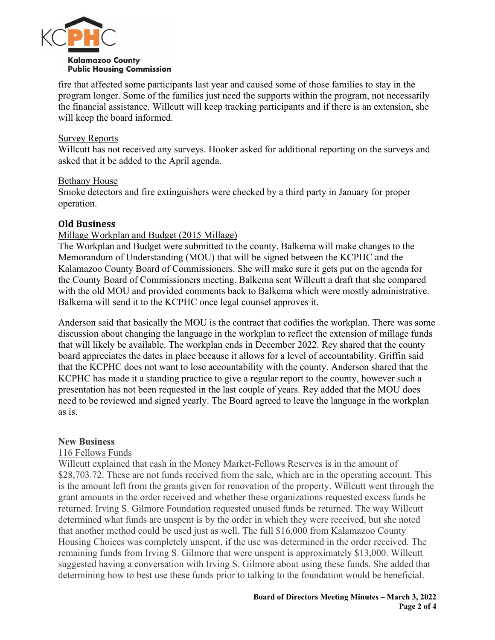

fire that affected some participants last year and caused some of those families to stay in the program longer. Some of the families just need the supports within the program, not necessarily the financial assistance. Willcutt will keep tracking participants and if there is an extension, she will keep the board informed.

#### Survey Reports

Willcutt has not received any surveys. Hooker asked for additional reporting on the surveys and asked that it be added to the April agenda.

#### Bethany House

Smoke detectors and fire extinguishers were checked by a third party in January for proper operation.

### **Old Business**

### Millage Workplan and Budget (2015 Millage)

The Workplan and Budget were submitted to the county. Balkema will make changes to the Memorandum of Understanding (MOU) that will be signed between the KCPHC and the Kalamazoo County Board of Commissioners. She will make sure it gets put on the agenda for the County Board of Commissioners meeting. Balkema sent Willcutt a draft that she compared with the old MOU and provided comments back to Balkema which were mostly administrative. Balkema will send it to the KCPHC once legal counsel approves it.

Anderson said that basically the MOU is the contract that codifies the workplan. There was some discussion about changing the language in the workplan to reflect the extension of millage funds that will likely be available. The workplan ends in December 2022. Rey shared that the county board appreciates the dates in place because it allows for a level of accountability. Griffin said that the KCPHC does not want to lose accountability with the county. Anderson shared that the KCPHC has made it a standing practice to give a regular report to the county, however such a presentation has not been requested in the last couple of years. Rey added that the MOU does need to be reviewed and signed yearly. The Board agreed to leave the language in the workplan as is.

#### **New Business**

#### 116 Fellows Funds

Willcutt explained that cash in the Money Market-Fellows Reserves is in the amount of \$28,703.72. These are not funds received from the sale, which are in the operating account. This is the amount left from the grants given for renovation of the property. Willcutt went through the grant amounts in the order received and whether these organizations requested excess funds be returned. Irving S. Gilmore Foundation requested unused funds be returned. The way Willcutt determined what funds are unspent is by the order in which they were received, but she noted that another method could be used just as well. The full \$16,000 from Kalamazoo County Housing Choices was completely unspent, if the use was determined in the order received. The remaining funds from Irving S. Gilmore that were unspent is approximately \$13,000. Willcutt suggested having a conversation with Irving S. Gilmore about using these funds. She added that determining how to best use these funds prior to talking to the foundation would be beneficial.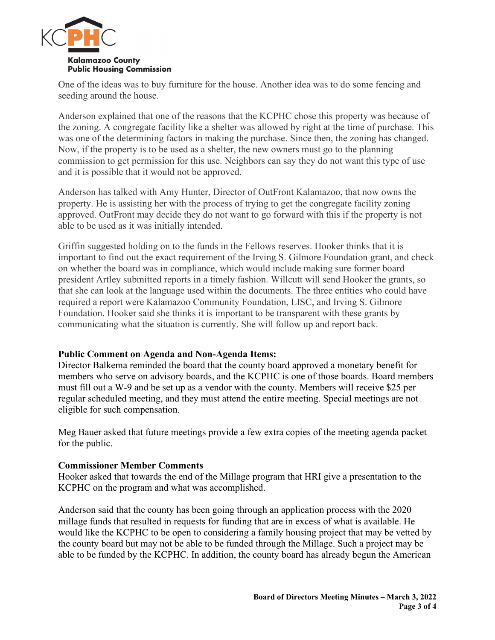

One of the ideas was to buy furniture for the house. Another idea was to do some fencing and seeding around the house.

Anderson explained that one of the reasons that the KCPHC chose this property was because of the zoning. A congregate facility like a shelter was allowed by right at the time of purchase. This was one of the determining factors in making the purchase. Since then, the zoning has changed. Now, if the property is to be used as a shelter, the new owners must go to the planning commission to get permission for this use. Neighbors can say they do not want this type of use and it is possible that it would not be approved.

Anderson has talked with Amy Hunter, Director of OutFront Kalamazoo, that now owns the property. He is assisting her with the process of trying to get the congregate facility zoning approved. OutFront may decide they do not want to go forward with this if the property is not able to be used as it was initially intended.

Griffin suggested holding on to the funds in the Fellows reserves. Hooker thinks that it is important to find out the exact requirement of the Irving S. Gilmore Foundation grant, and check on whether the board was in compliance, which would include making sure former board president Artley submitted reports in a timely fashion. Willcutt will send Hooker the grants, so that she can look at the language used within the documents. The three entities who could have required a report were Kalamazoo Community Foundation, LISC, and Irving S. Gilmore Foundation. Hooker said she thinks it is important to be transparent with these grants by communicating what the situation is currently. She will follow up and report back.

### **Public Comment on Agenda and Non-Agenda Items:**

Director Balkema reminded the board that the county board approved a monetary benefit for members who serve on advisory boards, and the KCPHC is one of those boards. Board members must fill out a W-9 and be set up as a vendor with the county. Members will receive \$25 per regular scheduled meeting, and they must attend the entire meeting. Special meetings are not eligible for such compensation.

Meg Bauer asked that future meetings provide a few extra copies of the meeting agenda packet for the public.

#### **Commissioner Member Comments**

Hooker asked that towards the end of the Millage program that HRI give a presentation to the KCPHC on the program and what was accomplished.

Anderson said that the county has been going through an application process with the 2020 millage funds that resulted in requests for funding that are in excess of what is available. He would like the KCPHC to be open to considering a family housing project that may be vetted by the county board but may not be able to be funded through the Millage. Such a project may be able to be funded by the KCPHC. In addition, the county board has already begun the American